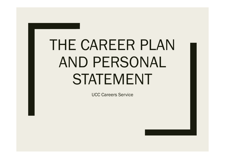# THE CAREER PLAN AND PERSONAL STATEMENT

UCC Careers Service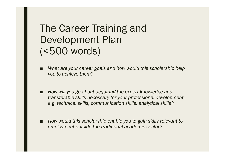# The Career Training and Development Plan (<500 words)

- ■ *What are your career goals and how would this scholarship help you to achieve them?*
- ■ *How will you go about acquiring the expert knowledge and transferable skills necessary for your professional development, e.g. technical skills, communication skills, analytical skills?*
- ■ *How would this scholarship enable you to gain skills relevant to employment outside the traditional academic sector?*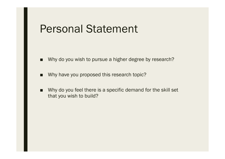### Personal Statement

- ■Why do you wish to pursue a higher degree by research?
- ■Why have you proposed this research topic?
- ■ Why do you feel there is a specific demand for the skill set that you wish to build?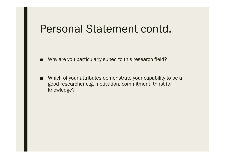# Personal Statement contd.

- ■Why are you particularly suited to this research field?
- ■ Which of your attributes demonstrate your capability to be a good researcher e.g. motivation, commitment, thirst for knowledge?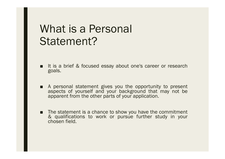# What is a Personal Statement?

- It is a brief & focused essay about one's career or research goals.
- A personal statement gives you the opportunity to present aspects of yourself and your background that may not be apparent from the other parts of your application.
- The statement is a chance to show you have the commitment & qualifications to work or pursue further study in your chosen field.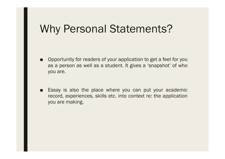# Why Personal Statements?

- Opportunity for readers of your application to get a feel for you as <sup>a</sup> person as well as <sup>a</sup> student. It gives <sup>a</sup> 'snapshot' of who you are.
- ■ Essay is also the place where you can put your academic record, experiences, skills etc. into context re: the application you are making.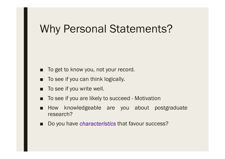# Why Personal Statements?

- ■To get to know you, not your record.
- ■To see if you can think logically.
- ■To see if you write well.
- ■To see if you are likely to succeed - Motivation
- ■ How knowledgeable are you about postgraduate research?
- ■Do you have *characteristics* that favour success?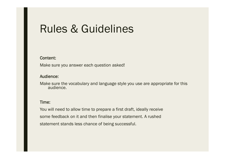# Rules & Guidelines

#### Content:

Make sure you answer each question asked!

#### Audience:

Make sure the vocabulary and language style you use are appropriate for this audience.

#### Time:

You will need to allow time to prepare a first draft, ideally receive some feedback on it and then finalise your statement. A rushed statement stands less chance of being successful.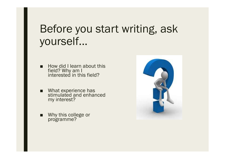# Before you start writing, ask yourself...

- How did I learn about this field? Why am I<br>interested in this field?
- What experience has stimulated and enhanced my interest?
- ■Why this college or<br>programme?

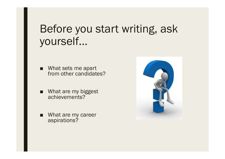# Before you start writing, ask yourself...

- What sets me apart from other candidates?
- What are my biggest achievements?
- ■ What are my career aspirations?

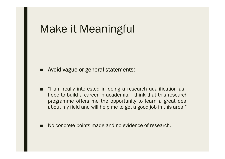# Make it Meaningful

- ■Avoid vague or general statements:
- "I am really interested in doing a research qualification as I hope to build <sup>a</sup> career in academia. I think that this research programme offers me the opportunity to learn <sup>a</sup> great deal about my field and will help me to get <sup>a</sup> good job in this area."
- ■No concrete points made and no evidence of research.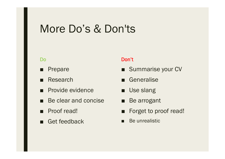# More Do's & Don'ts

Do

- ■Prepare
- ■Research
- Provide evidence
- Be clear and concise
- Proof read!
- Get feedback

#### Don't

- Summarise your CV
- Generalise
- Use slang
- Be arrogant
- Forget to proof read!
- ■Be unrealistic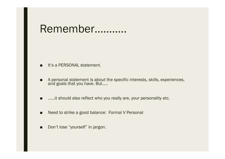### Remember………..

- ■It's a PERSONAL statement.
- ■■ A personal statement is about the specific interests, skills, experiences, and goals that you have. But…..
- ■……it should also reflect who you really are, your personality etc.
- ■Need to strike a good balance: Formal V Personal
- ■Don't lose "yourself" in jargon.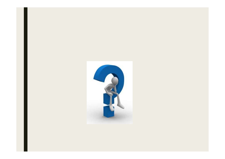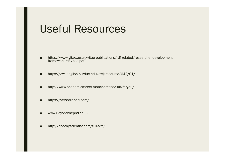### Useful Resources

- ■ https://www.vitae.ac.uk/vitae-publications/rdf-related/researcher-developmentframework-rdf-vitae.pdf
- ■https://owl.english.purdue.edu/owl/resource/642/01/
- ■http://www.academiccareer.manchester.ac.uk/foryou/
- ■https://versatilephd.com/
- ■www.Beyondthephd.co.uk
- ■http://cheekyscientist.com/full-site/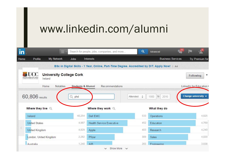# www.linkedin.com/alumni

| in   |                                         | E                              | Search for people, jobs, companies, and more                                                 | Q             | $\mathbb{R}^{22}$<br>Advanced      | $+1^5$                   |
|------|-----------------------------------------|--------------------------------|----------------------------------------------------------------------------------------------|---------------|------------------------------------|--------------------------|
| Home | My Network<br>Profile                   | <b>Jobs</b>                    | Interests                                                                                    |               | <b>Business Services</b>           | Try Premium for          |
|      |                                         |                                | BSc in Digital Skills - 1 Year, Online, Part-Time Degree. Accredited by DIT. Apply Now!   Ad |               |                                    |                          |
|      | Ireland<br>Skets to hCitizzale Corporal | <b>University College Cork</b> |                                                                                              |               |                                    | ▼<br>Following           |
|      | Home<br><b>Notables</b>                 | <b>Students &amp; Alumni</b>   | Recommendations                                                                              |               |                                    | LinkedIn for Education • |
|      | 60,806 results<br>Where they live $Q$   | $Q$ phd                        | Where they work $Q$                                                                          | Attended<br>÷ | to<br>2016<br>1900<br>What they do | Change university v      |
|      | Ireland                                 | 40,254                         | Dell EMC                                                                                     | 533           | Operations                         | 4,825                    |
|      | <b>United States</b>                    | 4,987                          | <b>Health Service Executive</b>                                                              | 452           | <b>Education</b>                   | 4,769                    |
|      |                                         |                                |                                                                                              |               |                                    |                          |
|      | <b>United Kingdom</b>                   | 4,829                          | Apple                                                                                        | 403           | Research                           | 4,240                    |
|      | London, United Kingdom                  | 2,282                          | Pfizer                                                                                       | 309           | Sales                              | 4,020                    |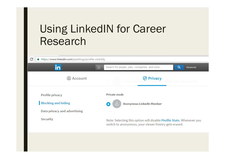# Using LinkedIN for Career Research

 $\mathcal{C}$ 

△ https://www.linkedin.com/psettings/profile-visibility

| in                                                                            | Q<br>Search for people, jobs, companies, and more<br>Advanced<br>-                                                                    |
|-------------------------------------------------------------------------------|---------------------------------------------------------------------------------------------------------------------------------------|
| <b>A</b> Account                                                              | Private profile characteristics<br><b>⊘</b> Privacy<br>rsity College Cork, Ireland (UCC)<br>Career Counselor at                       |
| Profile privacy<br><b>Blocking and hiding</b><br>Data privacy and advertising | Private mode<br>Anonymous LinkedIn Member<br>$\sim$                                                                                   |
| Security                                                                      | Note: Selecting this option will disable <b>Profile Stats</b> . Whenever you<br>switch to anonymous, your viewer history gets erased. |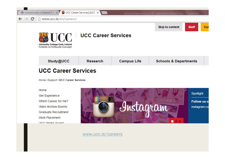

Home >Support >UCC Career Services

Home

**Get Experience** Which Career for me? Video Archive-Events Graduate Recruitment **Work Placement LICC Morke Award** 



www.ucc.ie/careers